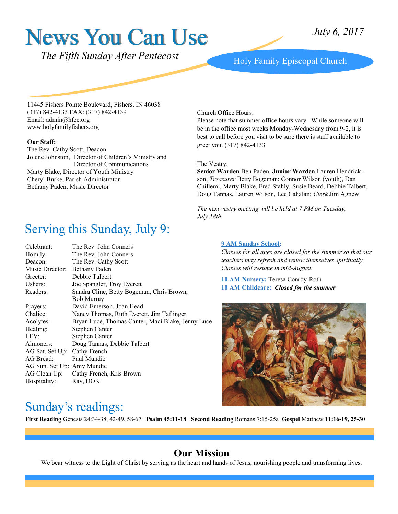# News You Can Use

*The Fifth Sunday After Pentecost* Holy Family Episcopal Church

11445 Fishers Pointe Boulevard, Fishers, IN 46038 (317) 842-4133 FAX: (317) 842-4139 Email: admin@hfec.org www.holyfamilyfishers.org

#### **Our Staff:**

The Rev. Cathy Scott, Deacon Jolene Johnston, Director of Children's Ministry and Director of Communications Marty Blake, Director of Youth Ministry Cheryl Burke, Parish Administrator Bethany Paden, Music Director

## Serving this Sunday, July 9:

| Celebrant:                   | The Rev. John Conners                             |
|------------------------------|---------------------------------------------------|
| Homily:                      | The Rev. John Conners                             |
| Deacon:                      | The Rev. Cathy Scott                              |
| Music Director:              | Bethany Paden                                     |
| Greeter:                     | Debbie Talbert                                    |
| Ushers:                      | Joe Spangler, Troy Everett                        |
| Readers:                     | Sandra Cline, Betty Bogeman, Chris Brown,         |
|                              | <b>Bob Murray</b>                                 |
| Prayers:                     | David Emerson, Joan Head                          |
| Chalice:                     | Nancy Thomas, Ruth Everett, Jim Taflinger         |
| Acolytes:                    | Bryan Luce, Thomas Canter, Maci Blake, Jenny Luce |
| Healing:                     | Stephen Canter                                    |
| LEV:                         | Stephen Canter                                    |
| Almoners:                    | Doug Tannas, Debbie Talbert                       |
| AG Sat. Set Up: Cathy French |                                                   |
| AG Bread:                    | Paul Mundie                                       |
| AG Sun. Set Up: Amy Mundie   |                                                   |
|                              | AG Clean Up: Cathy French, Kris Brown             |
| Hospitality:                 | Ray, DOK                                          |
|                              |                                                   |

#### Church Office Hours:

Please note that summer office hours vary. While someone will be in the office most weeks Monday-Wednesday from 9-2, it is best to call before you visit to be sure there is staff available to greet you. (317) 842-4133

#### The Vestry:

**Senior Warden** Ben Paden, **Junior Warden** Lauren Hendrickson; *Treasurer* Betty Bogeman; Connor Wilson (youth), Dan Chillemi, Marty Blake, Fred Stahly, Susie Beard, Debbie Talbert, Doug Tannas, Lauren Wilson, Lee Cahalan; *Clerk* Jim Agnew

*The next vestry meeting will be held at 7 PM on Tuesday, July 18th.*

#### **9 AM Sunday School:**

*Classes for all ages are closed for the summer so that our teachers may refresh and renew themselves spiritually. Classes will resume in mid-August.*

**10 AM Nursery:** Teresa Conroy-Roth **10 AM Childcare:** *Closed for the summer*



#### Sunday's readings:

**First Reading** Genesis 24:34-38, 42-49, 58-67**Psalm 45:11-18 Second Reading** Romans 7:15-25a **Gospel** Matthew **11:16-19, 25-30**

#### **Our Mission**

We bear witness to the Light of Christ by serving as the heart and hands of Jesus, nourishing people and transforming lives.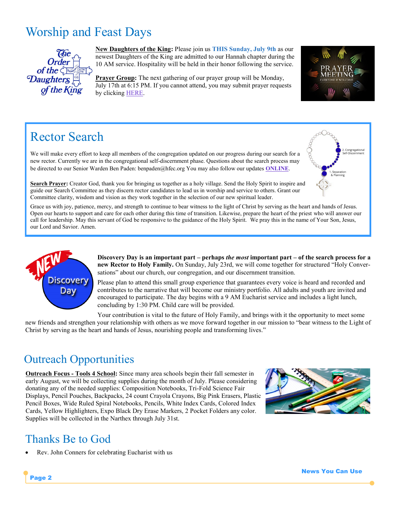## Worship and Feast Days



**New Daughters of the King:** Please join us **THIS Sunday, July 9th** as our newest Daughters of the King are admitted to our Hannah chapter during the 10 AM service. Hospitality will be held in their honor following the service.

**Prayer Group:** The next gathering of our prayer group will be Monday, July 17th at 6:15 PM. If you cannot attend, you may submit prayer requests by clicking **HERE**.



## Rector Search

We will make every effort to keep all members of the congregation updated on our progress during our search for a new rector. Currently we are in the congregational self-discernment phase. Questions about the search process may be directed to our Senior Warden Ben Paden: benpaden@hfec.org You may also follow our updates **[ONLINE](http://www.holyfamilyfishers.org/rector-search/)**.



**Search Prayer:** Creator God, thank you for bringing us together as a holy village. Send the Holy Spirit to inspire and guide our Search Committee as they discern rector candidates to lead us in worship and service to others. Grant our Committee clarity, wisdom and vision as they work together in the selection of our new spiritual leader.

Grace us with joy, patience, mercy, and strength to continue to bear witness to the light of Christ by serving as the heart and hands of Jesus. Open our hearts to support and care for each other during this time of transition. Likewise, prepare the heart of the priest who will answer our call for leadership. May this servant of God be responsive to the guidance of the Holy Spirit. We pray this in the name of Your Son, Jesus, our Lord and Savior. Amen.



**Discovery Day is an important part – perhaps** *the most* **important part – of the search process for a new Rector to Holy Family.** On Sunday, July 23rd, we will come together for structured "Holy Conversations" about our church, our congregation, and our discernment transition.

Please plan to attend this small group experience that guarantees every voice is heard and recorded and contributes to the narrative that will become our ministry portfolio. All adults and youth are invited and encouraged to participate. The day begins with a 9 AM Eucharist service and includes a light lunch, concluding by 1:30 PM. Child care will be provided.

Your contribution is vital to the future of Holy Family, and brings with it the opportunity to meet some new friends and strengthen your relationship with others as we move forward together in our mission to "bear witness to the Light of Christ by serving as the heart and hands of Jesus, nourishing people and transforming lives."

## Outreach Opportunities

**Outreach Focus - Tools 4 School:** Since many area schools begin their fall semester in early August, we will be collecting supplies during the month of July. Please considering donating any of the needed supplies: Composition Notebooks, Tri-Fold Science Fair Displays, Pencil Pouches, Backpacks, 24 count Crayola Crayons, Big Pink Erasers, Plastic Pencil Boxes, Wide Ruled Spiral Notebooks, Pencils, White Index Cards, Colored Index Cards, Yellow Highlighters, Expo Black Dry Erase Markers, 2 Pocket Folders any color. Supplies will be collected in the Narthex through July 31st.



## Thanks Be to God

Page 2

Rev. John Conners for celebrating Eucharist with us

News You Can Use